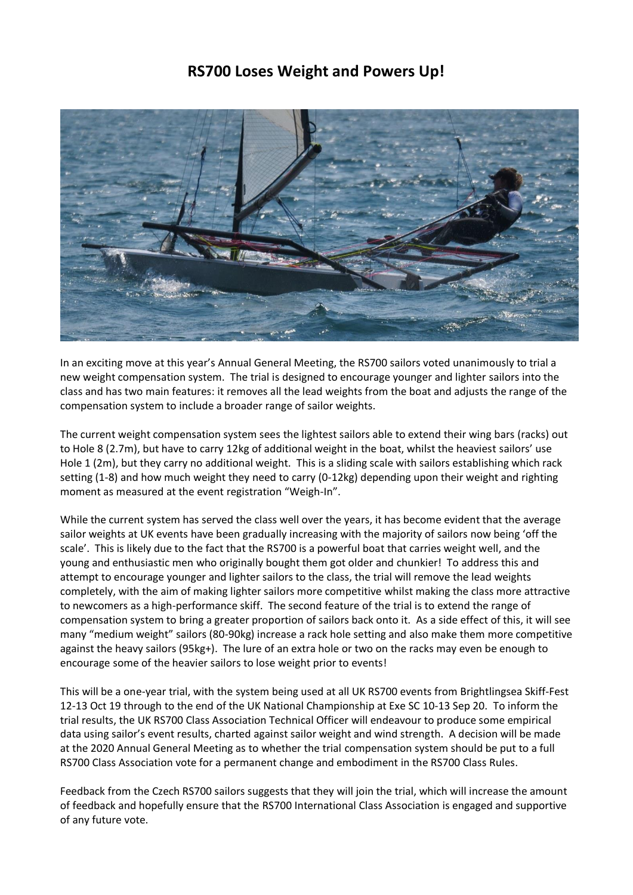## **RS700 Loses Weight and Powers Up!**



In an exciting move at this year's Annual General Meeting, the RS700 sailors voted unanimously to trial a new weight compensation system. The trial is designed to encourage younger and lighter sailors into the class and has two main features: it removes all the lead weights from the boat and adjusts the range of the compensation system to include a broader range of sailor weights.

The current weight compensation system sees the lightest sailors able to extend their wing bars (racks) out to Hole 8 (2.7m), but have to carry 12kg of additional weight in the boat, whilst the heaviest sailors' use Hole 1 (2m), but they carry no additional weight. This is a sliding scale with sailors establishing which rack setting (1-8) and how much weight they need to carry (0-12kg) depending upon their weight and righting moment as measured at the event registration "Weigh-In".

While the current system has served the class well over the years, it has become evident that the average sailor weights at UK events have been gradually increasing with the majority of sailors now being 'off the scale'. This is likely due to the fact that the RS700 is a powerful boat that carries weight well, and the young and enthusiastic men who originally bought them got older and chunkier! To address this and attempt to encourage younger and lighter sailors to the class, the trial will remove the lead weights completely, with the aim of making lighter sailors more competitive whilst making the class more attractive to newcomers as a high-performance skiff. The second feature of the trial is to extend the range of compensation system to bring a greater proportion of sailors back onto it. As a side effect of this, it will see many "medium weight" sailors (80-90kg) increase a rack hole setting and also make them more competitive against the heavy sailors (95kg+). The lure of an extra hole or two on the racks may even be enough to encourage some of the heavier sailors to lose weight prior to events!

This will be a one-year trial, with the system being used at all UK RS700 events from Brightlingsea Skiff-Fest 12-13 Oct 19 through to the end of the UK National Championship at Exe SC 10-13 Sep 20. To inform the trial results, the UK RS700 Class Association Technical Officer will endeavour to produce some empirical data using sailor's event results, charted against sailor weight and wind strength. A decision will be made at the 2020 Annual General Meeting as to whether the trial compensation system should be put to a full RS700 Class Association vote for a permanent change and embodiment in the RS700 Class Rules.

Feedback from the Czech RS700 sailors suggests that they will join the trial, which will increase the amount of feedback and hopefully ensure that the RS700 International Class Association is engaged and supportive of any future vote.